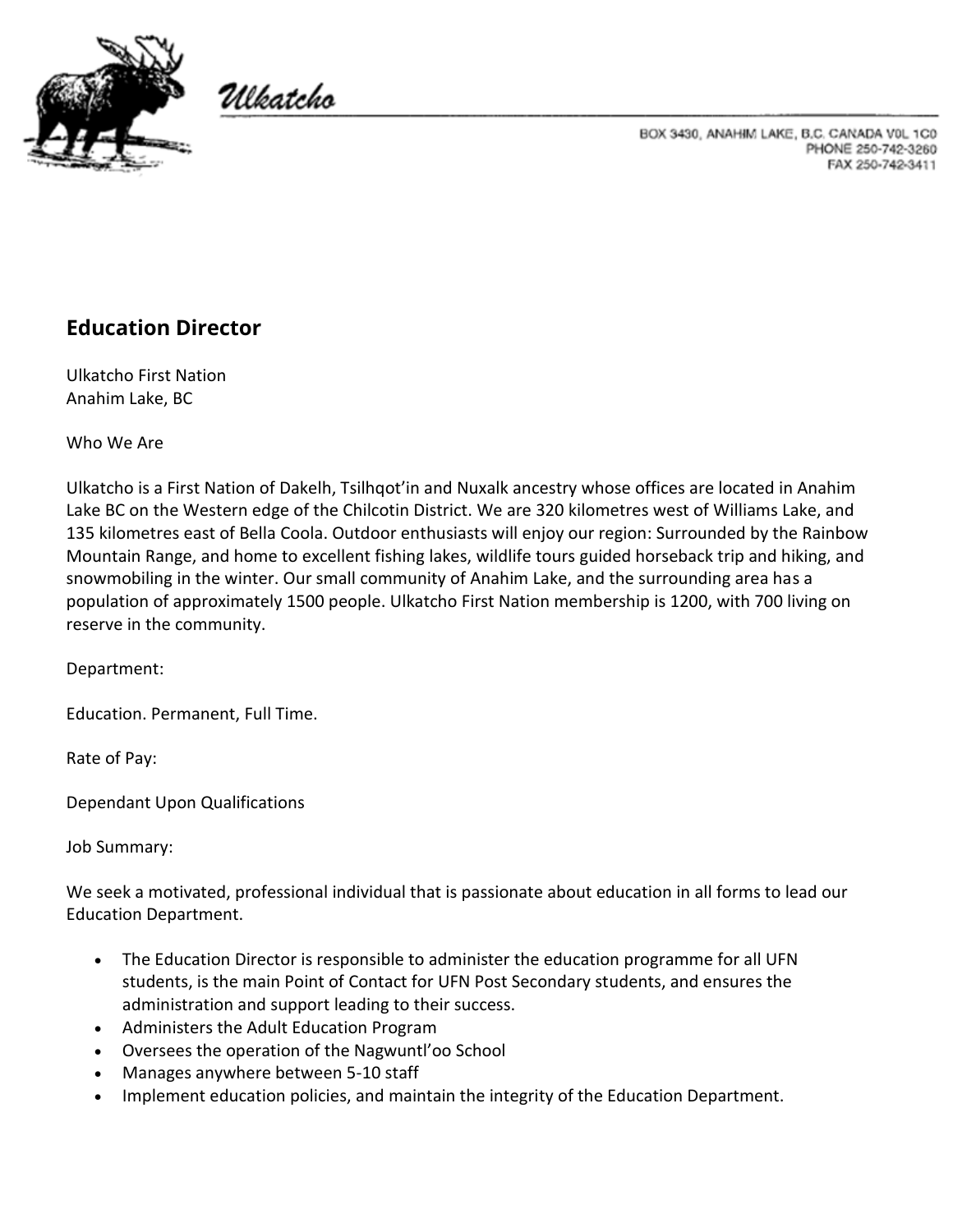

Ulkatcho

BOX 3430, ANAHIM LAKE, B.C. CANADA V0L 1C0 PHONE 250-742-3260 FAX 250-742-3411

## **Education Director**

Ulkatcho First Nation Anahim Lake, BC

Who We Are

Ulkatcho is a First Nation of Dakelh, Tsilhqot'in and Nuxalk ancestry whose offices are located in Anahim Lake BC on the Western edge of the Chilcotin District. We are 320 kilometres west of Williams Lake, and 135 kilometres east of Bella Coola. Outdoor enthusiasts will enjoy our region: Surrounded by the Rainbow Mountain Range, and home to excellent fishing lakes, wildlife tours guided horseback trip and hiking, and snowmobiling in the winter. Our small community of Anahim Lake, and the surrounding area has a population of approximately 1500 people. Ulkatcho First Nation membership is 1200, with 700 living on reserve in the community.

Department:

Education. Permanent, Full Time.

Rate of Pay:

Dependant Upon Qualifications

Job Summary:

We seek a motivated, professional individual that is passionate about education in all forms to lead our Education Department.

- The Education Director is responsible to administer the education programme for all UFN students, is the main Point of Contact for UFN Post Secondary students, and ensures the administration and support leading to their success.
- Administers the Adult Education Program
- Oversees the operation of the Nagwuntl'oo School
- Manages anywhere between 5-10 staff
- Implement education policies, and maintain the integrity of the Education Department.